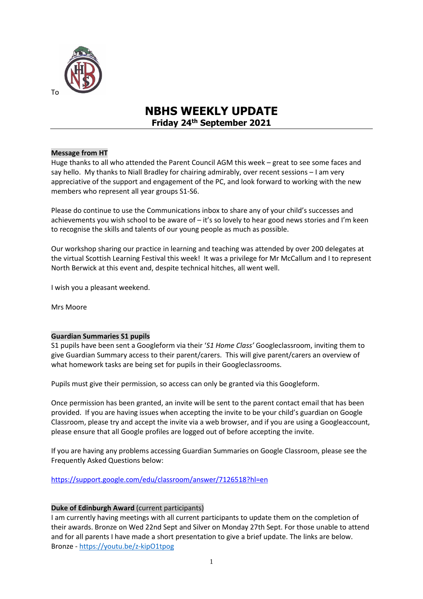

To

## **NBHS WEEKLY UPDATE Friday 24th September 2021**

#### **Message from HT**

Huge thanks to all who attended the Parent Council AGM this week – great to see some faces and say hello. My thanks to Niall Bradley for chairing admirably, over recent sessions – I am very appreciative of the support and engagement of the PC, and look forward to working with the new members who represent all year groups S1-S6.

Please do continue to use the Communications inbox to share any of your child's successes and achievements you wish school to be aware of – it's so lovely to hear good news stories and I'm keen to recognise the skills and talents of our young people as much as possible.

Our workshop sharing our practice in learning and teaching was attended by over 200 delegates at the virtual Scottish Learning Festival this week! It was a privilege for Mr McCallum and I to represent North Berwick at this event and, despite technical hitches, all went well.

I wish you a pleasant weekend.

Mrs Moore

#### **Guardian Summaries S1 pupils**

S1 pupils have been sent a Googleform via their '*S1 Home Class'* Googleclassroom, inviting them to give Guardian Summary access to their parent/carers. This will give parent/carers an overview of what homework tasks are being set for pupils in their Googleclassrooms.

Pupils must give their permission, so access can only be granted via this Googleform.

Once permission has been granted, an invite will be sent to the parent contact email that has been provided. If you are having issues when accepting the invite to be your child's guardian on Google Classroom, please try and accept the invite via a web browser, and if you are using a Googleaccount, please ensure that all Google profiles are logged out of before accepting the invite.

If you are having any problems accessing Guardian Summaries on Google Classroom, please see the Frequently Asked Questions below:

[https://support.google.com/edu/classroom/answer/7126518?hl=en](http://email.groupcallalert.com/ls/click?upn=D7MUcujhOab86cYZL5e3W4ebtukAMhHST1gqBwUFjohtWj7Bkpg3Bil2C7RoufzrUKSZSVJBG0Hbp-2BEDXD-2FPWGMkjcA6-2B-2FqDPWjyVsWKX3Y-3D_kLc_2M0QhEK7Fo4y-2FQ50ope1N6h5hDlI8oeHlP1hOLvuajlPrN0VdC7RJrsqwj9q-2FdHwRGc00hOIDCUcvQ8IC2hujSWxR4JOrnRWkaJXqhk2FmaeSms-2FrwomV6gi5Xbn83xKnMIfpXO24MKREIt5CnQKUbmbNhE1N1ftxVTEgPSn4VkZsf33k98g0La8qlAN1dUwvuTX0g9kXwknPb5-2FBxNHM7KYeA4-2Bj9LQIqQeQAlmGWe1cFroFO9J2s-2FDrglsJ35F-2BXiWatlH1kdF91e7OA8MoPQiXql5vLJsAsU3oLaf-2FJ8rA2TtyPpZ-2F8gLeqpX93Cb0pFL-2Br44StmMmlwYeeaBwI7De46mK8JWTcB2ng0NhT2xhZajCKUbQC1lI-2BndF7yHHEbsijjR-2F-2FINsgfCyz5HBwrhw2cWUjfsRB88m9jjWjE-3D)

#### **Duke of Edinburgh Award** (current participants)

I am currently having meetings with all current participants to update them on the completion of their awards. Bronze on Wed 22nd Sept and Silver on Monday 27th Sept. For those unable to attend and for all parents I have made a short presentation to give a brief update. The links are below. Bronze - <https://youtu.be/z-kipO1tpog>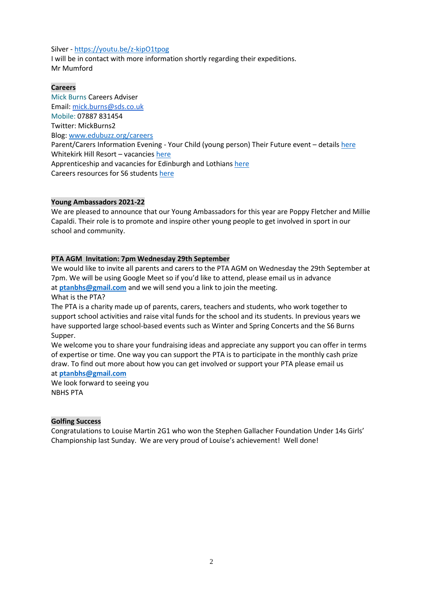#### Silver - <https://youtu.be/z-kipO1tpog>

I will be in contact with more information shortly regarding their expeditions. Mr Mumford

#### **Careers**

Mick Burns Careers Adviser Email: [mick.burns@sds.co.uk](https://mail.elcschool.org.uk/owa/redir.aspx?C=fbGa3DGVrsUoQB2CnJP23eXwMGzxu7J1CtarT6dTOwkq_NlpJujXCA..&URL=mailto%3amick.burns%40sds.co.uk) Mobile: 07887 831454 Twitter: MickBurns2 Blog: [www.edubuzz.org/careers](http://www.edubuzz.org/careers) Parent/Carers Information Evening - Your Child (young person) Their Future event – details [here](https://www.edubuzz.org/careers/2021/09/22/parent-carers-information-evening-your-child-young-person-their-future/) Whitekirk Hill Resort – vacancies [here](https://www.edubuzz.org/careers/2021/09/22/whitekirk-hill-resort-vacancies/) Apprenticeship and vacancies for Edinburgh and Lothians [here](https://www.edubuzz.org/careers/2021/09/23/apprenticeship-and-vacancies/) Careers resources for S6 students [here](https://issuu.com/mickburns/docs/s6_careers_book_mb_june_2021)

#### **Young Ambassadors 2021-22**

We are pleased to announce that our Young Ambassadors for this year are Poppy Fletcher and Millie Capaldi. Their role is to promote and inspire other young people to get involved in sport in our school and community.

### **PTA AGM Invitation: 7pm Wednesday 29th September**

We would like to invite all parents and carers to the PTA AGM on Wednesday the 29th September at 7pm. We will be using Google Meet so if you'd like to attend, please email us in advance at **[ptanbhs@gmail.com](mailto:ptanbhs@gmail.com)** and we will send you a link to join the meeting.

What is the PTA?

The PTA is a charity made up of parents, carers, teachers and students, who work together to support school activities and raise vital funds for the school and its students. In previous years we have supported large school-based events such as Winter and Spring Concerts and the S6 Burns Supper.

We welcome you to share your fundraising ideas and appreciate any support you can offer in terms of expertise or time. One way you can support the PTA is to participate in the monthly cash prize draw. To find out more about how you can get involved or support your PTA please email us at **[ptanbhs@gmail.com](mailto:ptanbhs@gmail.com)**

We look forward to seeing you NBHS PTA

#### **Golfing Success**

Congratulations to Louise Martin 2G1 who won the Stephen Gallacher Foundation Under 14s Girls' Championship last Sunday. We are very proud of Louise's achievement! Well done!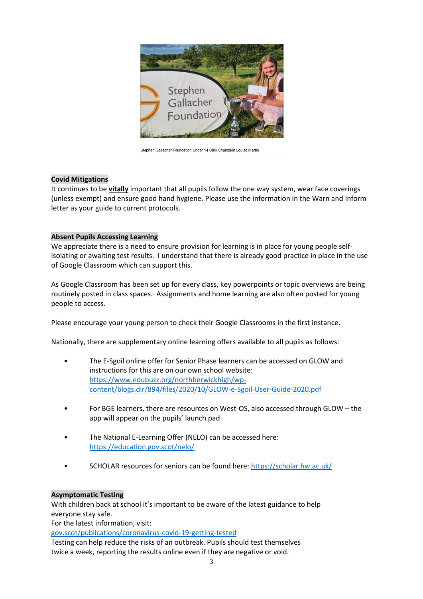

Stephen Gallacher Foundation Under 14 Girls Champion Louise Martin

#### **Covid Mitigations**

It continues to be **vitally** important that all pupils follow the one way system, wear face coverings (unless exempt) and ensure good hand hygiene. Please use the information in the Warn and Inform letter as your guide to current protocols.

#### **Absent Pupils Accessing Learning**

We appreciate there is a need to ensure provision for learning is in place for young people selfisolating or awaiting test results. I understand that there is already good practice in place in the use of Google Classroom which can support this.

As Google Classroom has been set up for every class, key powerpoints or topic overviews are being routinely posted in class spaces. Assignments and home learning are also often posted for young people to access.

Please encourage your young person to check their Google Classrooms in the first instance.

Nationally, there are supplementary online learning offers available to all pupils as follows:

- The E-Sgoil online offer for Senior Phase learners can be accessed on GLOW and instructions for this are on our own school website: [https://www.edubuzz.org/northberwickhigh/wp](https://www.edubuzz.org/northberwickhigh/wp-content/blogs.dir/894/files/2020/10/GLOW-e-Sgoil-User-Guide-2020.pdf)[content/blogs.dir/894/files/2020/10/GLOW-e-Sgoil-User-Guide-2020.pdf](https://www.edubuzz.org/northberwickhigh/wp-content/blogs.dir/894/files/2020/10/GLOW-e-Sgoil-User-Guide-2020.pdf)
- For BGE learners, there are resources on West-OS, also accessed through GLOW the app will appear on the pupils' launch pad
- The National E-Learning Offer (NELO) can be accessed here: <https://education.gov.scot/nelo/>
- SCHOLAR resources for seniors can be found here:<https://scholar.hw.ac.uk/>

### **Asymptomatic Testing**

With children back at school it's important to be aware of the latest guidance to help everyone stay safe.

For the latest information, visit:

[gov.scot/publications/coronavirus-covid-19-getting-tested](file://///nb-server1/subjects/Admin/Diane/Weekly%20update/September%202021/gov.scot/publications/coronavirus-covid-19-getting-tested)

Testing can help reduce the risks of an outbreak. Pupils should test themselves twice a week, reporting the results online even if they are negative or void.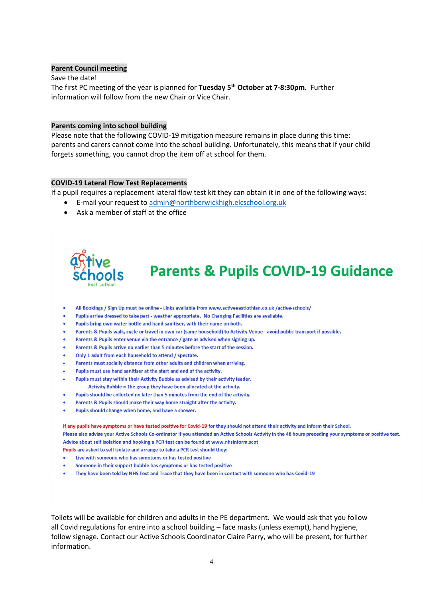#### **Parent Council meeting**

Save the date! The first PC meeting of the year is planned for **Tuesday 5th October at 7-8:30pm.** Further information will follow from the new Chair or Vice Chair.

#### **Parents coming into school building**

Please note that the following COVID-19 mitigation measure remains in place during this time: parents and carers cannot come into the school building. Unfortunately, this means that if your child forgets something, you cannot drop the item off at school for them.

#### **COVID-19 Lateral Flow Test Replacements**

If a pupil requires a replacement lateral flow test kit they can obtain it in one of the following ways:

- E-mail your request to [admin@northberwickhigh.elcschool.org.uk](mailto:admin@northberwickhigh.elcschool.org.uk)
- Ask a member of staff at the office



# **Parents & Pupils COVID-19 Guidance**

- All Bookings / Sign Up must be online Links available from www.activeeastlothian.co.uk /active-schools/  $\bullet$
- Pupils arrive dressed to take part weather appropriate. No Changing Facilities are available.
- Pupils bring own water bottle and hand sanitiser, with their name on both.
- Parents & Pupils walk, cycle or travel in own car (same household) to Activity Venue avoid public transport if possible.
- Parents & Pupils enter venue via the entrance / gate as advised when signing up.
- Parents & Pupils arrive no earlier than 5 minutes before the start of the session.
- Only 1 adult from each household to attend / spectate.
- Parents must socially distance from other adults and children when arriving.
- Pupils must use hand sanitiser at the start and end of the activity.
- Pupils must stay within their Activity Bubble as advised by their activity leader. Activity Bubble = The group they have been allocated at the activity.
- Pupils should be collected no later than 5 minutes from the end of the activity.
- Parents & Pupils should make their way home straight after the activity.
- Pupils should change when home, and have a shower.

If any pupils have symptoms or have tested positive for Covid-19 for they should not attend their activity and inform their School. Please also advise your Active Schools Co-ordinator if you attended an Active Schools Activity in the 48 hours preceding your symptoms or positive test. Advice about self isolation and booking a PCR test can be found at www.phsinform.scot Pupils are asked to self isolate and arrange to take a PCR test should they:

- Live with someone who has symptoms or has tested positive
- Someone in their support bubble has symptoms or has tested positive
- . They have been told by NHS Test and Trace that they have been in contact with someone who has Covid-19

Toilets will be available for children and adults in the PE department. We would ask that you follow all Covid regulations for entre into a school building – face masks (unless exempt), hand hygiene, follow signage. Contact our Active Schools Coordinator Claire Parry, who will be present, for further information.